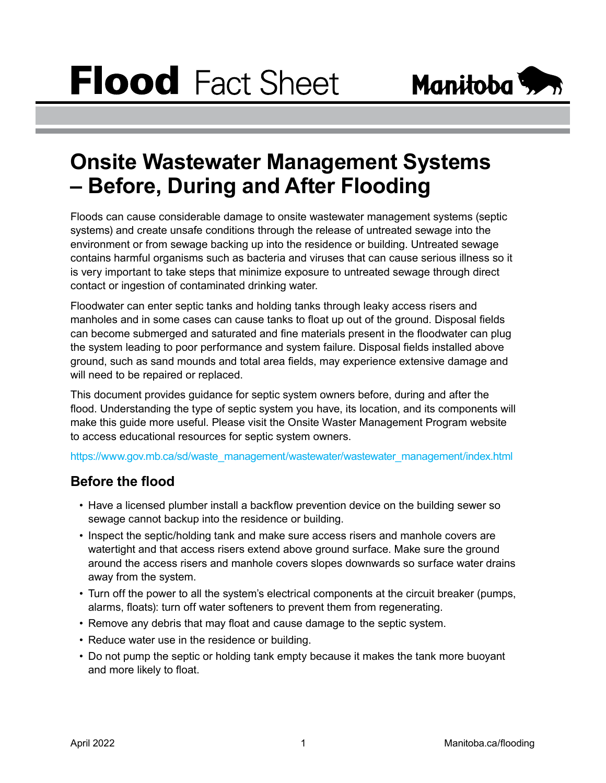

# **Onsite Wastewater Management Systems – Before, During and After Flooding**

Floods can cause considerable damage to onsite wastewater management systems (septic systems) and create unsafe conditions through the release of untreated sewage into the environment or from sewage backing up into the residence or building. Untreated sewage contains harmful organisms such as bacteria and viruses that can cause serious illness so it is very important to take steps that minimize exposure to untreated sewage through direct contact or ingestion of contaminated drinking water.

Floodwater can enter septic tanks and holding tanks through leaky access risers and manholes and in some cases can cause tanks to float up out of the ground. Disposal fields can become submerged and saturated and fine materials present in the floodwater can plug the system leading to poor performance and system failure. Disposal fields installed above ground, such as sand mounds and total area fields, may experience extensive damage and will need to be repaired or replaced.

This document provides guidance for septic system owners before, during and after the flood. Understanding the type of septic system you have, its location, and its components will make this guide more useful. Please visit the Onsite Waster Management Program website to access educational resources for septic system owners.

[https://www.gov.mb.ca/sd/waste\\_management/wastewater/wastewater\\_management/index.html](https://www.gov.mb.ca/sd/waste_management/wastewater/wastewater_management/index.html)

#### **Before the flood**

- Have a licensed plumber install a backflow prevention device on the building sewer so sewage cannot backup into the residence or building.
- Inspect the septic/holding tank and make sure access risers and manhole covers are watertight and that access risers extend above ground surface. Make sure the ground around the access risers and manhole covers slopes downwards so surface water drains away from the system.
- Turn off the power to all the system's electrical components at the circuit breaker (pumps, alarms, floats): turn off water softeners to prevent them from regenerating.
- Remove any debris that may float and cause damage to the septic system.
- Reduce water use in the residence or building.
- Do not pump the septic or holding tank empty because it makes the tank more buoyant and more likely to float.